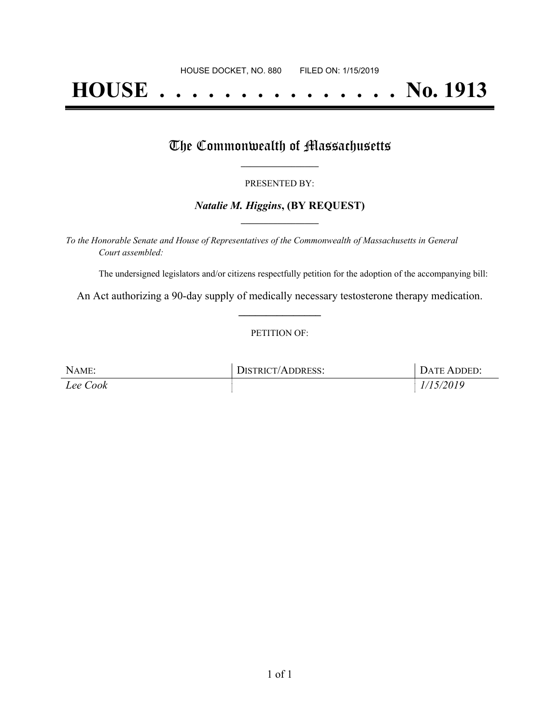# **HOUSE . . . . . . . . . . . . . . . No. 1913**

## The Commonwealth of Massachusetts

#### PRESENTED BY:

#### *Natalie M. Higgins***, (BY REQUEST) \_\_\_\_\_\_\_\_\_\_\_\_\_\_\_\_\_**

*To the Honorable Senate and House of Representatives of the Commonwealth of Massachusetts in General Court assembled:*

The undersigned legislators and/or citizens respectfully petition for the adoption of the accompanying bill:

An Act authorizing a 90-day supply of medically necessary testosterone therapy medication. **\_\_\_\_\_\_\_\_\_\_\_\_\_\_\_**

#### PETITION OF:

| NAME:    | DISTRICT/ADDRESS: | <b>DATE ADDED:</b> |
|----------|-------------------|--------------------|
| Lee Cook |                   | 1/15/2019          |